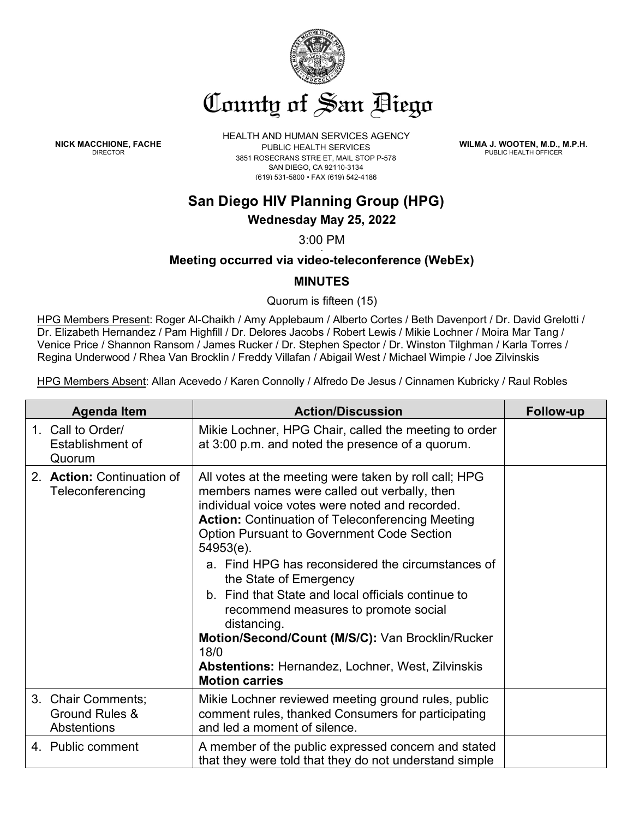

**NICK MACCHIONE, FACHE** DIRECTOR

HEALTH AND HUMAN SERVICES AGENCY PUBLIC HEALTH SERVICES 3851 ROSECRANS STRE ET, MAIL STOP P-578 SAN DIEGO, CA 92110-3134 (619) 531-5800 • FAX (619) 542-4186

**WILMA J. WOOTEN, M.D., M.P.H.** PUBLIC HEALTH OFFICER

## **San Diego HIV Planning Group (HPG)**

**Wednesday May 25, 2022**

3:00 PM

## - **Meeting occurred via video-teleconference (WebEx)**

## **MINUTES**

Quorum is fifteen (15)

HPG Members Present: Roger Al-Chaikh / Amy Applebaum / Alberto Cortes / Beth Davenport / Dr. David Grelotti / Dr. Elizabeth Hernandez / Pam Highfill / Dr. Delores Jacobs / Robert Lewis / Mikie Lochner / Moira Mar Tang / Venice Price / Shannon Ransom / James Rucker / Dr. Stephen Spector / Dr. Winston Tilghman / Karla Torres / Regina Underwood / Rhea Van Brocklin / Freddy Villafan / Abigail West / Michael Wimpie / Joe Zilvinskis

HPG Members Absent: Allan Acevedo / Karen Connolly / Alfredo De Jesus / Cinnamen Kubricky / Raul Robles

| <b>Agenda Item</b>                                                    | <b>Action/Discussion</b>                                                                                                                                                                                                                                                                                                                                                                                                                                                                                                                                                                                                           | Follow-up |
|-----------------------------------------------------------------------|------------------------------------------------------------------------------------------------------------------------------------------------------------------------------------------------------------------------------------------------------------------------------------------------------------------------------------------------------------------------------------------------------------------------------------------------------------------------------------------------------------------------------------------------------------------------------------------------------------------------------------|-----------|
| 1. Call to Order/<br>Establishment of<br>Quorum                       | Mikie Lochner, HPG Chair, called the meeting to order<br>at 3:00 p.m. and noted the presence of a quorum.                                                                                                                                                                                                                                                                                                                                                                                                                                                                                                                          |           |
| 2. Action: Continuation of<br>Teleconferencing                        | All votes at the meeting were taken by roll call; HPG<br>members names were called out verbally, then<br>individual voice votes were noted and recorded.<br><b>Action:</b> Continuation of Teleconferencing Meeting<br><b>Option Pursuant to Government Code Section</b><br>54953(e).<br>a. Find HPG has reconsidered the circumstances of<br>the State of Emergency<br>b. Find that State and local officials continue to<br>recommend measures to promote social<br>distancing.<br>Motion/Second/Count (M/S/C): Van Brocklin/Rucker<br>18/0<br><b>Abstentions: Hernandez, Lochner, West, Zilvinskis</b><br><b>Motion carries</b> |           |
| 3. Chair Comments;<br><b>Ground Rules &amp;</b><br><b>Abstentions</b> | Mikie Lochner reviewed meeting ground rules, public<br>comment rules, thanked Consumers for participating<br>and led a moment of silence.                                                                                                                                                                                                                                                                                                                                                                                                                                                                                          |           |
| 4. Public comment                                                     | A member of the public expressed concern and stated<br>that they were told that they do not understand simple                                                                                                                                                                                                                                                                                                                                                                                                                                                                                                                      |           |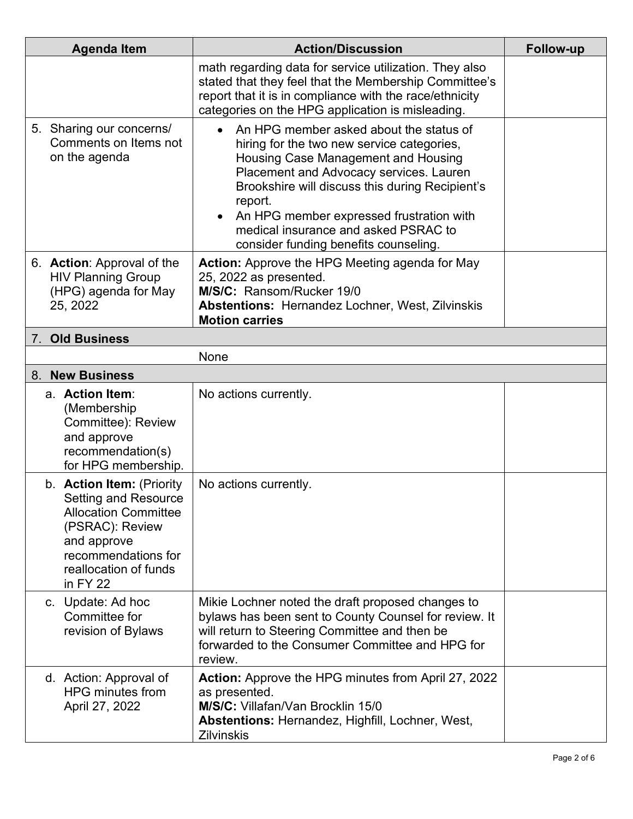| <b>Agenda Item</b>                                                                                                                                                                    | <b>Action/Discussion</b>                                                                                                                                                                                                                                                                                                                                           | <b>Follow-up</b> |
|---------------------------------------------------------------------------------------------------------------------------------------------------------------------------------------|--------------------------------------------------------------------------------------------------------------------------------------------------------------------------------------------------------------------------------------------------------------------------------------------------------------------------------------------------------------------|------------------|
|                                                                                                                                                                                       | math regarding data for service utilization. They also<br>stated that they feel that the Membership Committee's<br>report that it is in compliance with the race/ethnicity<br>categories on the HPG application is misleading.                                                                                                                                     |                  |
| 5. Sharing our concerns/<br>Comments on Items not<br>on the agenda                                                                                                                    | An HPG member asked about the status of<br>hiring for the two new service categories,<br>Housing Case Management and Housing<br>Placement and Advocacy services. Lauren<br>Brookshire will discuss this during Recipient's<br>report.<br>An HPG member expressed frustration with<br>medical insurance and asked PSRAC to<br>consider funding benefits counseling. |                  |
| 6. Action: Approval of the<br><b>HIV Planning Group</b><br>(HPG) agenda for May<br>25, 2022                                                                                           | <b>Action:</b> Approve the HPG Meeting agenda for May<br>25, 2022 as presented.<br>M/S/C: Ransom/Rucker 19/0<br><b>Abstentions: Hernandez Lochner, West, Zilvinskis</b><br><b>Motion carries</b>                                                                                                                                                                   |                  |
| 7. Old Business                                                                                                                                                                       |                                                                                                                                                                                                                                                                                                                                                                    |                  |
|                                                                                                                                                                                       | None                                                                                                                                                                                                                                                                                                                                                               |                  |
| 8. New Business                                                                                                                                                                       |                                                                                                                                                                                                                                                                                                                                                                    |                  |
| a. Action Item:<br>(Membership<br>Committee): Review<br>and approve<br>recommendation(s)<br>for HPG membership.                                                                       | No actions currently.                                                                                                                                                                                                                                                                                                                                              |                  |
| b. Action Item: (Priority<br><b>Setting and Resource</b><br><b>Allocation Committee</b><br>(PSRAC): Review<br>and approve<br>recommendations for<br>reallocation of funds<br>in FY 22 | No actions currently.                                                                                                                                                                                                                                                                                                                                              |                  |
| c. Update: Ad hoc<br>Committee for<br>revision of Bylaws                                                                                                                              | Mikie Lochner noted the draft proposed changes to<br>bylaws has been sent to County Counsel for review. It<br>will return to Steering Committee and then be<br>forwarded to the Consumer Committee and HPG for<br>review.                                                                                                                                          |                  |
| d. Action: Approval of<br><b>HPG</b> minutes from<br>April 27, 2022                                                                                                                   | Action: Approve the HPG minutes from April 27, 2022<br>as presented.<br>M/S/C: Villafan/Van Brocklin 15/0<br>Abstentions: Hernandez, Highfill, Lochner, West,<br><b>Zilvinskis</b>                                                                                                                                                                                 |                  |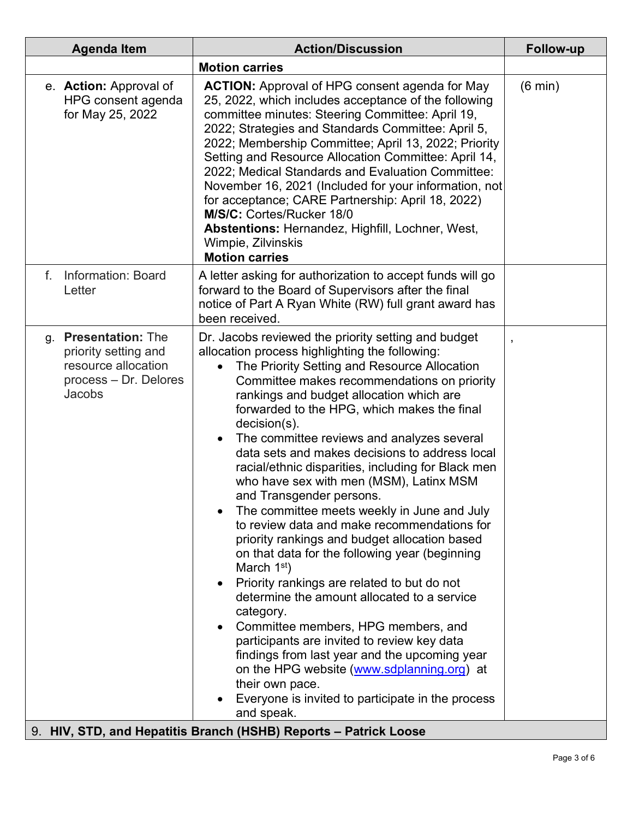| <b>Agenda Item</b>                                                                                               | <b>Action/Discussion</b>                                                                                                                                                                                                                                                                                                                                                                                                                                                                                                                                                                                                                                                                                                                                                                                                                                                                                                                                                                                                                                                                                                                                | Follow-up         |
|------------------------------------------------------------------------------------------------------------------|---------------------------------------------------------------------------------------------------------------------------------------------------------------------------------------------------------------------------------------------------------------------------------------------------------------------------------------------------------------------------------------------------------------------------------------------------------------------------------------------------------------------------------------------------------------------------------------------------------------------------------------------------------------------------------------------------------------------------------------------------------------------------------------------------------------------------------------------------------------------------------------------------------------------------------------------------------------------------------------------------------------------------------------------------------------------------------------------------------------------------------------------------------|-------------------|
|                                                                                                                  | <b>Motion carries</b>                                                                                                                                                                                                                                                                                                                                                                                                                                                                                                                                                                                                                                                                                                                                                                                                                                                                                                                                                                                                                                                                                                                                   |                   |
| e. Action: Approval of<br>HPG consent agenda<br>for May 25, 2022                                                 | <b>ACTION:</b> Approval of HPG consent agenda for May<br>25, 2022, which includes acceptance of the following<br>committee minutes: Steering Committee: April 19,<br>2022; Strategies and Standards Committee: April 5,<br>2022; Membership Committee; April 13, 2022; Priority<br>Setting and Resource Allocation Committee: April 14,<br>2022; Medical Standards and Evaluation Committee:<br>November 16, 2021 (Included for your information, not<br>for acceptance; CARE Partnership: April 18, 2022)<br>M/S/C: Cortes/Rucker 18/0<br>Abstentions: Hernandez, Highfill, Lochner, West,<br>Wimpie, Zilvinskis<br><b>Motion carries</b>                                                                                                                                                                                                                                                                                                                                                                                                                                                                                                              | $(6 \text{ min})$ |
| Information: Board<br>f<br>Letter                                                                                | A letter asking for authorization to accept funds will go<br>forward to the Board of Supervisors after the final<br>notice of Part A Ryan White (RW) full grant award has<br>been received.                                                                                                                                                                                                                                                                                                                                                                                                                                                                                                                                                                                                                                                                                                                                                                                                                                                                                                                                                             |                   |
| <b>Presentation: The</b><br>g.<br>priority setting and<br>resource allocation<br>process – Dr. Delores<br>Jacobs | Dr. Jacobs reviewed the priority setting and budget<br>allocation process highlighting the following:<br>The Priority Setting and Resource Allocation<br>Committee makes recommendations on priority<br>rankings and budget allocation which are<br>forwarded to the HPG, which makes the final<br>$decision(s)$ .<br>The committee reviews and analyzes several<br>data sets and makes decisions to address local<br>racial/ethnic disparities, including for Black men<br>who have sex with men (MSM), Latinx MSM<br>and Transgender persons.<br>The committee meets weekly in June and July<br>to review data and make recommendations for<br>priority rankings and budget allocation based<br>on that data for the following year (beginning<br>March $1st$ )<br>Priority rankings are related to but do not<br>determine the amount allocated to a service<br>category.<br>Committee members, HPG members, and<br>participants are invited to review key data<br>findings from last year and the upcoming year<br>on the HPG website (www.sdplanning.org) at<br>their own pace.<br>Everyone is invited to participate in the process<br>and speak. | $\overline{ }$    |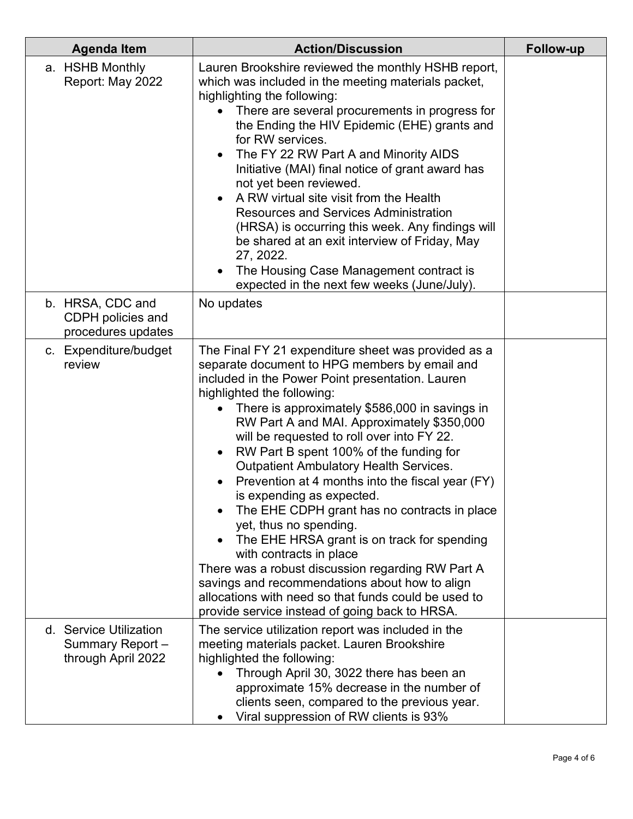| <b>Agenda Item</b>                                              | <b>Action/Discussion</b>                                                                                                                                                                                                                                                                                                                                                                                                                                                                                                                                                                                                                                                                                                                                                                                                                                                                              | <b>Follow-up</b> |
|-----------------------------------------------------------------|-------------------------------------------------------------------------------------------------------------------------------------------------------------------------------------------------------------------------------------------------------------------------------------------------------------------------------------------------------------------------------------------------------------------------------------------------------------------------------------------------------------------------------------------------------------------------------------------------------------------------------------------------------------------------------------------------------------------------------------------------------------------------------------------------------------------------------------------------------------------------------------------------------|------------------|
| a. HSHB Monthly<br>Report: May 2022                             | Lauren Brookshire reviewed the monthly HSHB report,<br>which was included in the meeting materials packet,<br>highlighting the following:<br>• There are several procurements in progress for<br>the Ending the HIV Epidemic (EHE) grants and<br>for RW services.<br>The FY 22 RW Part A and Minority AIDS<br>Initiative (MAI) final notice of grant award has<br>not yet been reviewed.<br>A RW virtual site visit from the Health<br><b>Resources and Services Administration</b><br>(HRSA) is occurring this week. Any findings will<br>be shared at an exit interview of Friday, May<br>27, 2022.<br>The Housing Case Management contract is<br>expected in the next few weeks (June/July).                                                                                                                                                                                                       |                  |
| b. HRSA, CDC and<br>CDPH policies and<br>procedures updates     | No updates                                                                                                                                                                                                                                                                                                                                                                                                                                                                                                                                                                                                                                                                                                                                                                                                                                                                                            |                  |
| c. Expenditure/budget<br>review                                 | The Final FY 21 expenditure sheet was provided as a<br>separate document to HPG members by email and<br>included in the Power Point presentation. Lauren<br>highlighted the following:<br>• There is approximately \$586,000 in savings in<br>RW Part A and MAI. Approximately \$350,000<br>will be requested to roll over into FY 22.<br>RW Part B spent 100% of the funding for<br>$\bullet$<br><b>Outpatient Ambulatory Health Services.</b><br>Prevention at 4 months into the fiscal year (FY)<br>is expending as expected.<br>The EHE CDPH grant has no contracts in place<br>yet, thus no spending.<br>The EHE HRSA grant is on track for spending<br>with contracts in place<br>There was a robust discussion regarding RW Part A<br>savings and recommendations about how to align<br>allocations with need so that funds could be used to<br>provide service instead of going back to HRSA. |                  |
| d. Service Utilization<br>Summary Report-<br>through April 2022 | The service utilization report was included in the<br>meeting materials packet. Lauren Brookshire<br>highlighted the following:<br>Through April 30, 3022 there has been an<br>approximate 15% decrease in the number of<br>clients seen, compared to the previous year.<br>Viral suppression of RW clients is 93%                                                                                                                                                                                                                                                                                                                                                                                                                                                                                                                                                                                    |                  |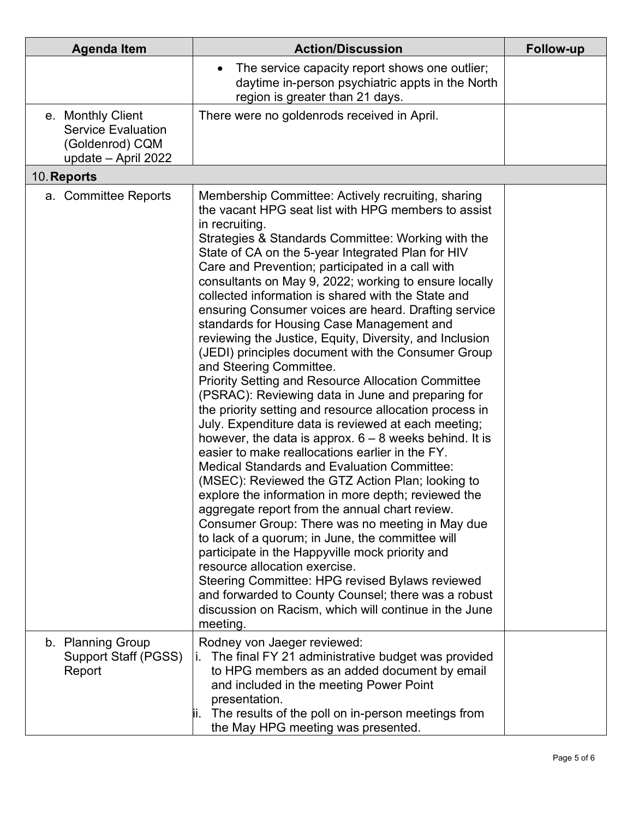| <b>Agenda Item</b>                                                                       | <b>Action/Discussion</b>                                                                                                                                                                                                                                                                                                                                                                                                                                                                                                                                                                                                                                                                                                                                                                                                                                                                                                                                                                                                                                                                                                                                                                                                                                                                                                                                                                                                                                                                                                                                                                                   | <b>Follow-up</b> |
|------------------------------------------------------------------------------------------|------------------------------------------------------------------------------------------------------------------------------------------------------------------------------------------------------------------------------------------------------------------------------------------------------------------------------------------------------------------------------------------------------------------------------------------------------------------------------------------------------------------------------------------------------------------------------------------------------------------------------------------------------------------------------------------------------------------------------------------------------------------------------------------------------------------------------------------------------------------------------------------------------------------------------------------------------------------------------------------------------------------------------------------------------------------------------------------------------------------------------------------------------------------------------------------------------------------------------------------------------------------------------------------------------------------------------------------------------------------------------------------------------------------------------------------------------------------------------------------------------------------------------------------------------------------------------------------------------------|------------------|
|                                                                                          | The service capacity report shows one outlier;<br>daytime in-person psychiatric appts in the North<br>region is greater than 21 days.                                                                                                                                                                                                                                                                                                                                                                                                                                                                                                                                                                                                                                                                                                                                                                                                                                                                                                                                                                                                                                                                                                                                                                                                                                                                                                                                                                                                                                                                      |                  |
| e. Monthly Client<br><b>Service Evaluation</b><br>(Goldenrod) CQM<br>update - April 2022 | There were no goldenrods received in April.                                                                                                                                                                                                                                                                                                                                                                                                                                                                                                                                                                                                                                                                                                                                                                                                                                                                                                                                                                                                                                                                                                                                                                                                                                                                                                                                                                                                                                                                                                                                                                |                  |
| 10. Reports                                                                              |                                                                                                                                                                                                                                                                                                                                                                                                                                                                                                                                                                                                                                                                                                                                                                                                                                                                                                                                                                                                                                                                                                                                                                                                                                                                                                                                                                                                                                                                                                                                                                                                            |                  |
| a. Committee Reports                                                                     | Membership Committee: Actively recruiting, sharing<br>the vacant HPG seat list with HPG members to assist<br>in recruiting.<br>Strategies & Standards Committee: Working with the<br>State of CA on the 5-year Integrated Plan for HIV<br>Care and Prevention; participated in a call with<br>consultants on May 9, 2022; working to ensure locally<br>collected information is shared with the State and<br>ensuring Consumer voices are heard. Drafting service<br>standards for Housing Case Management and<br>reviewing the Justice, Equity, Diversity, and Inclusion<br>(JEDI) principles document with the Consumer Group<br>and Steering Committee.<br><b>Priority Setting and Resource Allocation Committee</b><br>(PSRAC): Reviewing data in June and preparing for<br>the priority setting and resource allocation process in<br>July. Expenditure data is reviewed at each meeting;<br>however, the data is approx. $6 - 8$ weeks behind. It is<br>easier to make reallocations earlier in the FY.<br><b>Medical Standards and Evaluation Committee:</b><br>(MSEC): Reviewed the GTZ Action Plan; looking to<br>explore the information in more depth; reviewed the<br>aggregate report from the annual chart review.<br>Consumer Group: There was no meeting in May due<br>to lack of a quorum; in June, the committee will<br>participate in the Happyville mock priority and<br>resource allocation exercise.<br>Steering Committee: HPG revised Bylaws reviewed<br>and forwarded to County Counsel; there was a robust<br>discussion on Racism, which will continue in the June<br>meeting. |                  |
| b. Planning Group<br><b>Support Staff (PGSS)</b><br>Report                               | Rodney von Jaeger reviewed:<br>The final FY 21 administrative budget was provided<br>İ.<br>to HPG members as an added document by email<br>and included in the meeting Power Point<br>presentation.<br>The results of the poll on in-person meetings from<br>II.<br>the May HPG meeting was presented.                                                                                                                                                                                                                                                                                                                                                                                                                                                                                                                                                                                                                                                                                                                                                                                                                                                                                                                                                                                                                                                                                                                                                                                                                                                                                                     |                  |